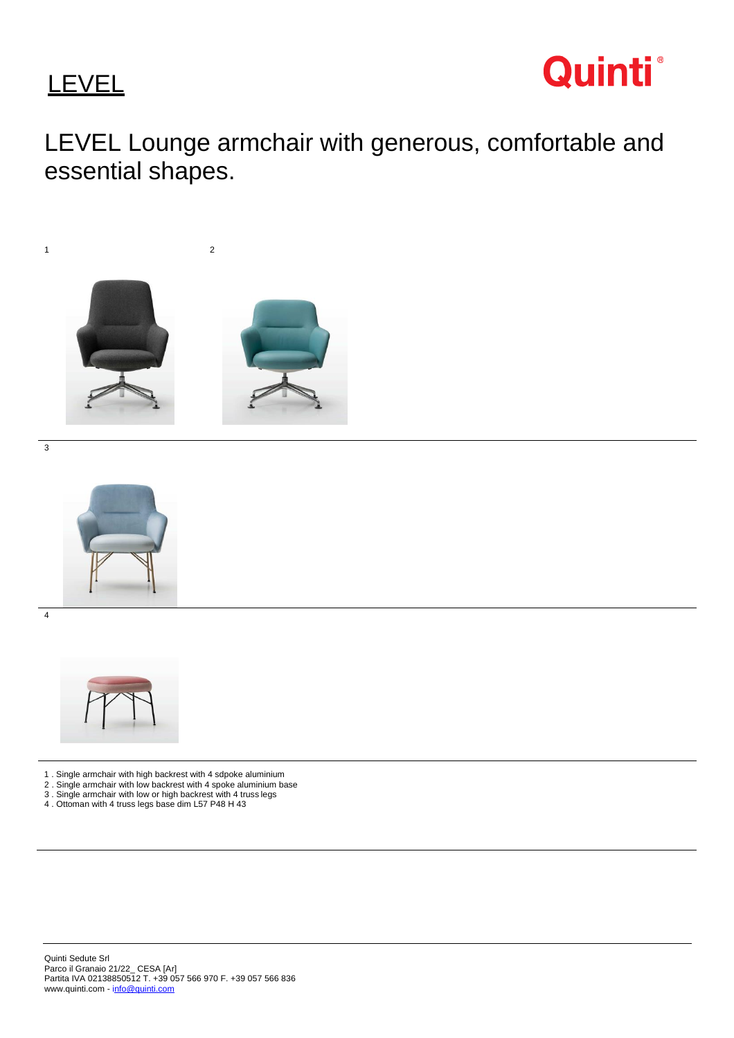**LEVEL** 



LEVEL Lounge armchair with generous, comfortable and essential shapes.



3



- 1 . Single armchair with high backrest with 4 sdpoke aluminium
- 2 . Single armchair with low backrest with 4 spoke aluminium base
- 3 . Single armchair with low or high backrest with 4 truss legs
- 4 . Ottoman with 4 truss legs base dim L57 P48 H 43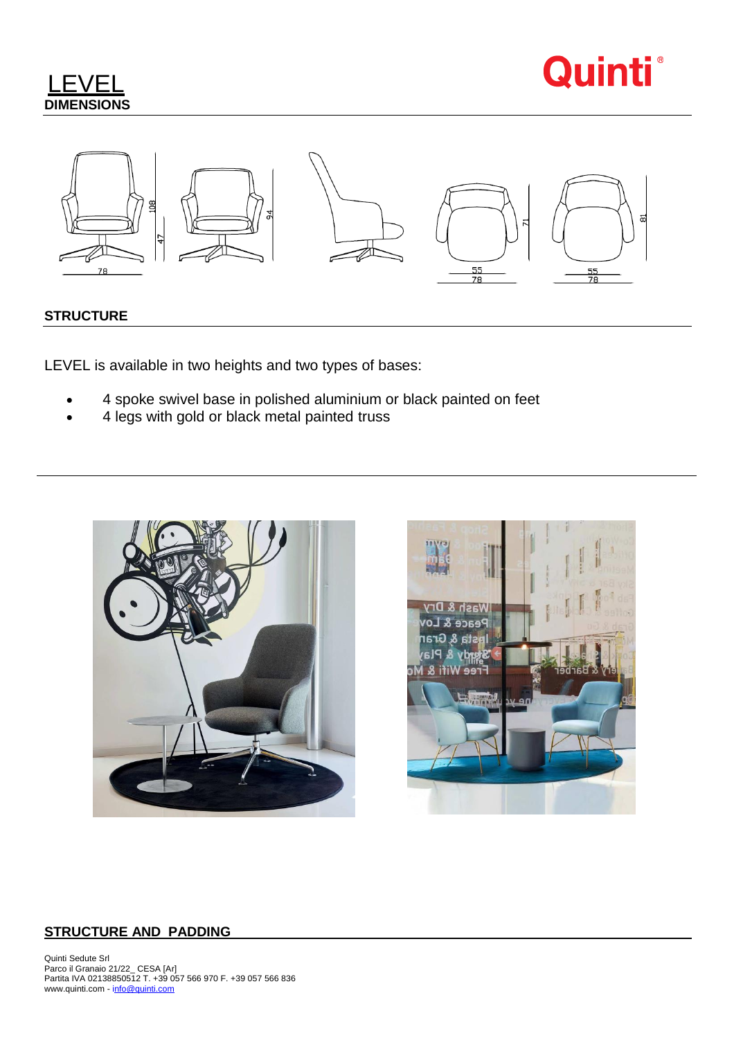





# **STRUCTURE**

LEVEL is available in two heights and two types of bases:

- 4 spoke swivel base in polished aluminium or black painted on feet
- 4 legs with gold or black metal painted truss





## **STRUCTURE AND PADDING**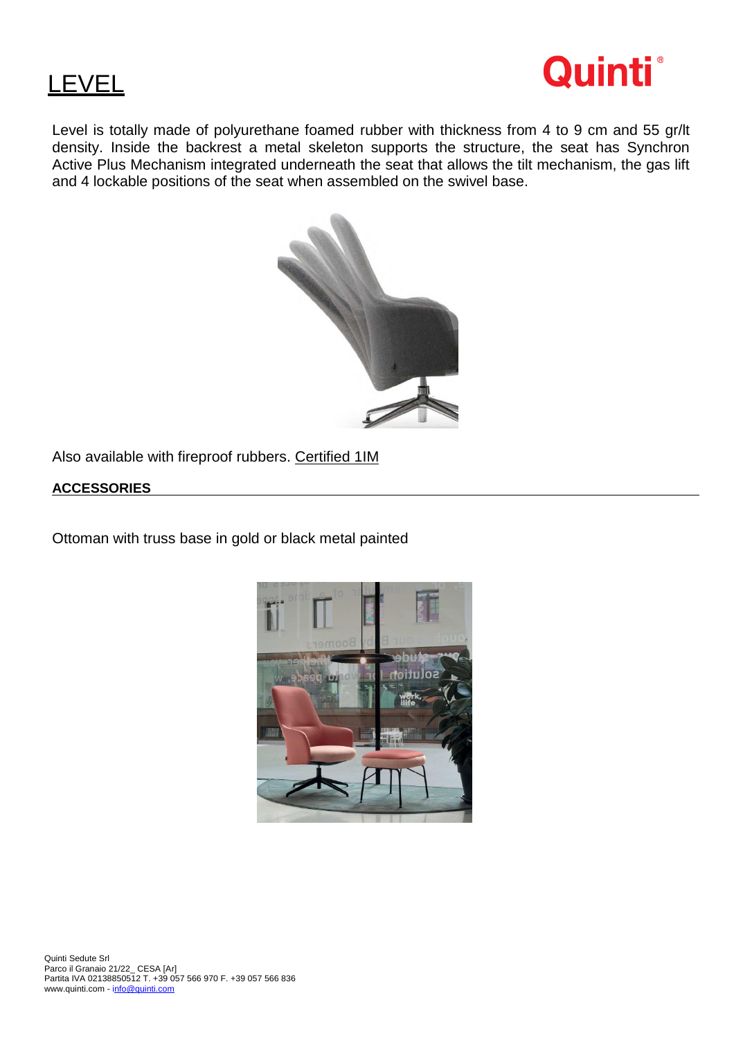

# **LEVEL**

Level is totally made of polyurethane foamed rubber with thickness from 4 to 9 cm and 55 gr/lt density. Inside the backrest a metal skeleton supports the structure, the seat has Synchron Active Plus Mechanism integrated underneath the seat that allows the tilt mechanism, the gas lift and 4 lockable positions of the seat when assembled on the swivel base.



Also available with fireproof rubbers. Certified 1IM

# **ACCESSORIES**

Ottoman with truss base in gold or black metal painted

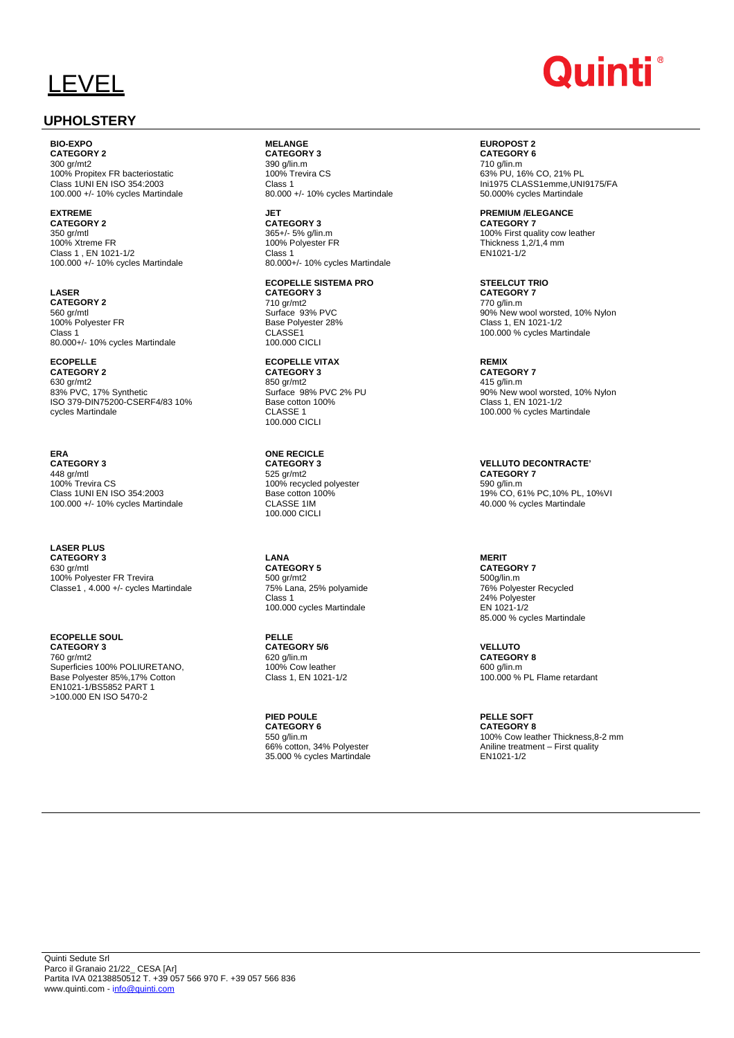# LEVEL

# **UPHOLSTERY**

**BIO-EXPO CATEGORY 2**

300 gr/mt2 100% Propitex FR bacteriostatic Class 1UNI EN ISO 354:2003 100.000 +/- 10% cycles Martindale

#### **EXTREME CATEGORY 2**

350 gr/mtl 100% Xtreme FR Class 1 , EN 1021-1/2 100.000 +/- 10% cycles Martindale

**LASER CATEGORY 2** 560 gr/mtl 100% Polyester FR Class 1 80.000+/- 10% cycles Martindale

**ECOPELLE CATEGORY 2** 630 gr/mt2 83% PVC, 17% Synthetic ISO 379-DIN75200-CSERF4/83 10% cycles Martindale

**ERA CATEGORY 3** 448 gr/mtl 100% Trevira CS Class 1UNI EN ISO 354:2003 100.000 +/- 10% cycles Martindale

**LASER PLUS CATEGORY 3** 630 gr/mtl 100% Polyester FR Trevira Classe1 , 4.000 +/- cycles Martindale

**ECOPELLE SOUL CATEGORY 3** 760 gr/mt2 Superficies 100% POLIURETANO, Base Polyester 85%,17% Cotton EN1021-1/BS5852 PART 1 >100.000 EN ISO 5470-2

**MELANGE CATEGORY 3** 390 g/lin.m 100% Trevira CS Class 1 80.000 +/- 10% cycles Martindale

**JET CATEGORY 3** 365+/- 5% g/lin.m 100% Polyester FR Class 1 80.000+/- 10% cycles Martindale

**ECOPELLE SISTEMA PRO CATEGORY 3** 710 gr/mt2 Surface 93% PVC Base Polyester 28% CLASSE<sub>1</sub> 100.000 CICLI

**ECOPELLE VITAX CATEGORY 3** 850 gr/mt2 Surface 98% PVC 2% PU Base cotton 100% CLASSE 1 100.000 CICLI

**ONE RECICLE CATEGORY 3** 525 gr/mt2 100% recycled polyester Base cotton 100% CLASSE 1IM 100.000 CICLI

**LANA CATEGORY 5** 500 gr/mt2 75% Lana, 25% polyamide Class 1 100.000 cycles Martindale

**PELLE CATEGORY 5/6** 620 g/lin.m 100% Cow leather Class 1, EN 1021-1/2

**PIED POULE CATEGORY 6** 550 g/lin.m 66% cotton, 34% Polyester 35.000 % cycles Martindale

# Quinti˚

**EUROPOST 2 CATEGORY 6**

710 g/lin.m 63% PU, 16% CO, 21% PL Ini1975 CLASS1emme,UNI9175/FA 50.000% cycles Martindale

**PREMIUM /ELEGANCE CATEGORY 7** 100% First quality cow leather Thickness 1,2/1,4 mm EN1021-1/2

**STEELCUT TRIO CATEGORY 7** 770 g/lin.m 90% New wool worsted, 10% Nylon Class 1, EN 1021-1/2 100.000 % cycles Martindale

**REMIX CATEGORY 7** 415 g/lin.m 90% New wool worsted, 10% Nylon Class 1, EN 1021-1/2 100.000 % cycles Martindale

**VELLUTO DECONTRACTE' CATEGORY 7** 590 g/lin.m 19% CO, 61% PC,10% PL, 10%VI 40.000 % cycles Martindale

**MERIT CATEGORY 7** 500g/lin.m 76% Polyester Recycled 24% Polyester EN 1021-1/2 85.000 % cycles Martindale

**VELLUTO CATEGORY 8** 600 g/lin.m 100.000 % PL Flame retardant

**PELLE SOFT CATEGORY 8** 100% Cow leather Thickness,8-2 mm Aniline treatment – First quality EN1021-1/2